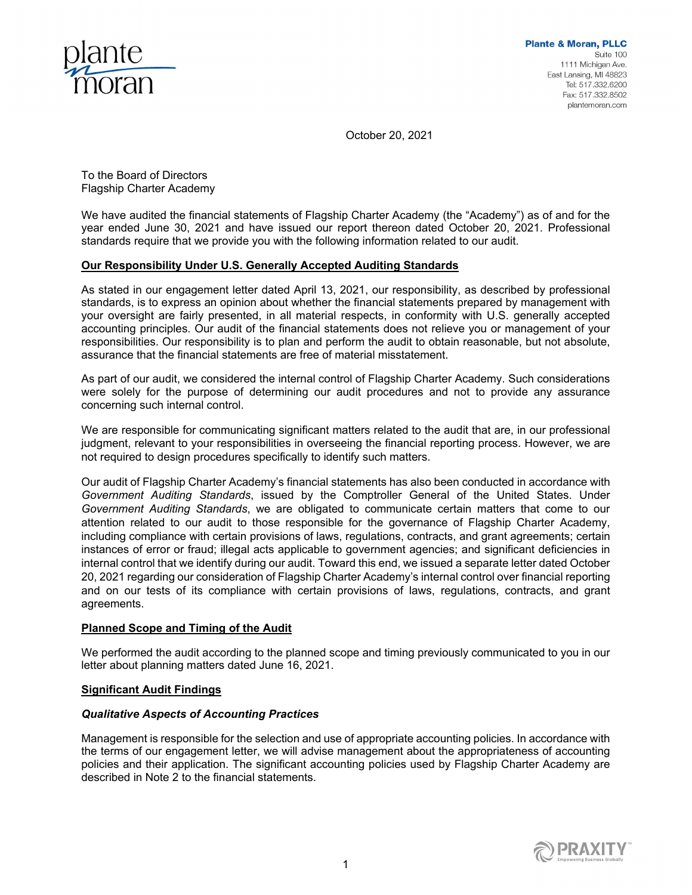

October 20, 2021

To the Board of Directors Flagship Charter Academy

We have audited the financial statements of Flagship Charter Academy (the "Academy") as of and for the year ended June 30, 2021 and have issued our report thereon dated October 20, 2021. Professional standards require that we provide you with the following information related to our audit.

# **Our Responsibility Under U.S. Generally Accepted Auditing Standards**

As stated in our engagement letter dated April 13, 2021, our responsibility, as described by professional standards, is to express an opinion about whether the financial statements prepared by management with your oversight are fairly presented, in all material respects, in conformity with U.S. generally accepted accounting principles. Our audit of the financial statements does not relieve you or management of your responsibilities. Our responsibility is to plan and perform the audit to obtain reasonable, but not absolute, assurance that the financial statements are free of material misstatement.

As part of our audit, we considered the internal control of Flagship Charter Academy. Such considerations were solely for the purpose of determining our audit procedures and not to provide any assurance concerning such internal control.

We are responsible for communicating significant matters related to the audit that are, in our professional judgment, relevant to your responsibilities in overseeing the financial reporting process. However, we are not required to design procedures specifically to identify such matters.

Our audit of Flagship Charter Academy's financial statements has also been conducted in accordance with *Government Auditing Standards*, issued by the Comptroller General of the United States. Under *Government Auditing Standards*, we are obligated to communicate certain matters that come to our attention related to our audit to those responsible for the governance of Flagship Charter Academy, including compliance with certain provisions of laws, regulations, contracts, and grant agreements; certain instances of error or fraud; illegal acts applicable to government agencies; and significant deficiencies in internal control that we identify during our audit. Toward this end, we issued a separate letter dated October 20, 2021 regarding our consideration of Flagship Charter Academy's internal control over financial reporting and on our tests of its compliance with certain provisions of laws, regulations, contracts, and grant agreements.

## **Planned Scope and Timing of the Audit**

We performed the audit according to the planned scope and timing previously communicated to you in our letter about planning matters dated June 16, 2021.

### **Significant Audit Findings**

### *Qualitative Aspects of Accounting Practices*

Management is responsible for the selection and use of appropriate accounting policies. In accordance with the terms of our engagement letter, we will advise management about the appropriateness of accounting policies and their application. The significant accounting policies used by Flagship Charter Academy are described in Note 2 to the financial statements.

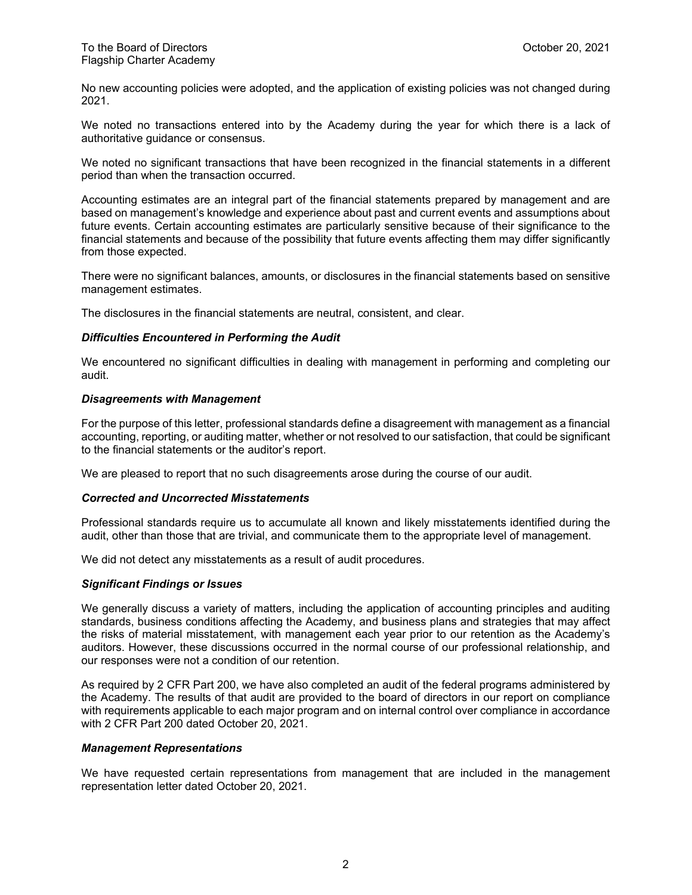No new accounting policies were adopted, and the application of existing policies was not changed during 2021.

We noted no transactions entered into by the Academy during the year for which there is a lack of authoritative guidance or consensus.

We noted no significant transactions that have been recognized in the financial statements in a different period than when the transaction occurred.

Accounting estimates are an integral part of the financial statements prepared by management and are based on management's knowledge and experience about past and current events and assumptions about future events. Certain accounting estimates are particularly sensitive because of their significance to the financial statements and because of the possibility that future events affecting them may differ significantly from those expected.

There were no significant balances, amounts, or disclosures in the financial statements based on sensitive management estimates.

The disclosures in the financial statements are neutral, consistent, and clear.

### *Difficulties Encountered in Performing the Audit*

We encountered no significant difficulties in dealing with management in performing and completing our audit.

### *Disagreements with Management*

For the purpose of this letter, professional standards define a disagreement with management as a financial accounting, reporting, or auditing matter, whether or not resolved to our satisfaction, that could be significant to the financial statements or the auditor's report.

We are pleased to report that no such disagreements arose during the course of our audit.

### *Corrected and Uncorrected Misstatements*

Professional standards require us to accumulate all known and likely misstatements identified during the audit, other than those that are trivial, and communicate them to the appropriate level of management.

We did not detect any misstatements as a result of audit procedures.

### *Significant Findings or Issues*

We generally discuss a variety of matters, including the application of accounting principles and auditing standards, business conditions affecting the Academy, and business plans and strategies that may affect the risks of material misstatement, with management each year prior to our retention as the Academy's auditors. However, these discussions occurred in the normal course of our professional relationship, and our responses were not a condition of our retention.

As required by 2 CFR Part 200, we have also completed an audit of the federal programs administered by the Academy. The results of that audit are provided to the board of directors in our report on compliance with requirements applicable to each major program and on internal control over compliance in accordance with 2 CFR Part 200 dated October 20, 2021.

#### *Management Representations*

We have requested certain representations from management that are included in the management representation letter dated October 20, 2021.